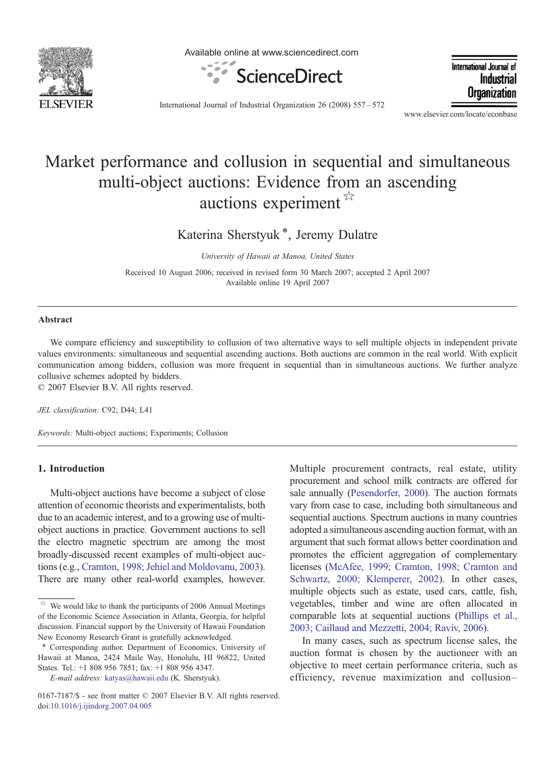

Available online at www.sciencedirect.com



International Journal of Industrial Organization

International Journal of Industrial Organization 26 (2008) 557–572

www.elsevier.com/locate/econbase

## Market performance and collusion in sequential and simultaneous multi-object auctions: Evidence from an ascending auctions experiment  $\mathbb{X}$

Katerina Sherstyuk<sup>\*</sup>, Jeremy Dulatre

University of Hawaii at Manoa, United States

Received 10 August 2006; received in revised form 30 March 2007; accepted 2 April 2007 Available online 19 April 2007

## Abstract

We compare efficiency and susceptibility to collusion of two alternative ways to sell multiple objects in independent private values environments: simultaneous and sequential ascending auctions. Both auctions are common in the real world. With explicit communication among bidders, collusion was more frequent in sequential than in simultaneous auctions. We further analyze collusive schemes adopted by bidders.

© 2007 Elsevier B.V. All rights reserved.

JEL classification: C92; D44; L41

Keywords: Multi-object auctions; Experiments; Collusion

## 1. Introduction

Multi-object auctions have become a subject of close attention of economic theorists and experimentalists, both due to an academic interest, and to a growing use of multiobject auctions in practice. Government auctions to sell the electro magnetic spectrum are among the most broadly-discussed recent examples of multi-object auctions (e.g., [Cramton, 1998; Jehiel and Moldovanu, 2003](#page--1-0)). There are many other real-world examples, however.

E-mail address: [katyas@hawaii.edu](mailto:katyas@hawaii.�edu) (K. Sherstyuk).

Multiple procurement contracts, real estate, utility procurement and school milk contracts are offered for sale annually [\(Pesendorfer, 2000\)](#page--1-0). The auction formats vary from case to case, including both simultaneous and sequential auctions. Spectrum auctions in many countries adopted a simultaneous ascending auction format, with an argument that such format allows better coordination and promotes the efficient aggregation of complementary licenses ([McAfee, 1999; Cramton, 1998; Cramton and](#page--1-0) [Schwartz, 2000; Klemperer, 2002\)](#page--1-0). In other cases, multiple objects such as estate, used cars, cattle, fish, vegetables, timber and wine are often allocated in comparable lots at sequential auctions ([Phillips et al.,](#page--1-0) [2003; Caillaud and Mezzetti, 2004; Raviv, 2006](#page--1-0)).

In many cases, such as spectrum license sales, the auction format is chosen by the auctioneer with an objective to meet certain performance criteria, such as efficiency, revenue maximization and collusion–

We would like to thank the participants of 2006 Annual Meetings of the Economic Science Association in Atlanta, Georgia, for helpful discussion. Financial support by the University of Hawaii Foundation New Economy Research Grant is gratefully acknowledged.

<sup>⁎</sup> Corresponding author. Department of Economics, University of Hawaii at Manoa, 2424 Maile Way, Honolulu, HI 96822, United States. Tel.: +1 808 956 7851; fax: +1 808 956 4347.

<sup>0167-7187/\$ -</sup> see front matter © 2007 Elsevier B.V. All rights reserved. doi[:10.1016/j.ijindorg.2007.04.005](http://dx.doi.org/10.1016/j.ijindorg.2007.04.005)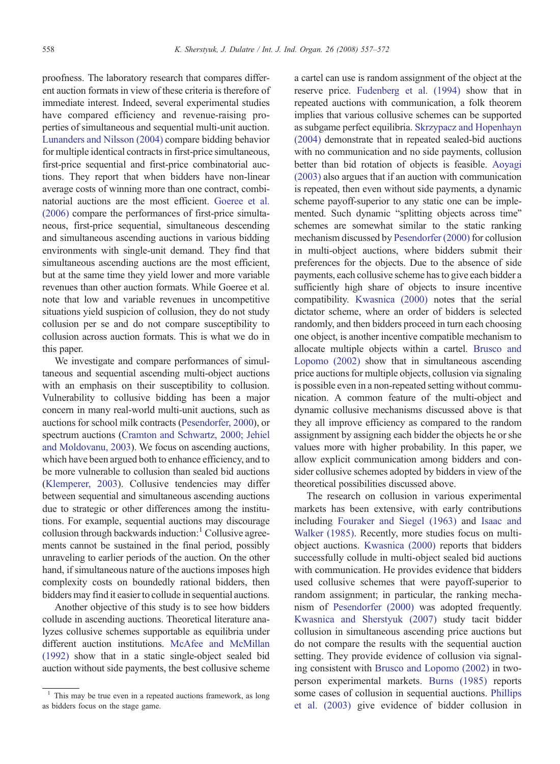proofness. The laboratory research that compares different auction formats in view of these criteria is therefore of immediate interest. Indeed, several experimental studies have compared efficiency and revenue-raising properties of simultaneous and sequential multi-unit auction. [Lunanders and Nilsson \(2004\)](#page--1-0) compare bidding behavior for multiple identical contracts in first-price simultaneous, first-price sequential and first-price combinatorial auctions. They report that when bidders have non-linear average costs of winning more than one contract, combinatorial auctions are the most efficient. [Goeree et al.](#page--1-0) [\(2006\)](#page--1-0) compare the performances of first-price simultaneous, first-price sequential, simultaneous descending and simultaneous ascending auctions in various bidding environments with single-unit demand. They find that simultaneous ascending auctions are the most efficient, but at the same time they yield lower and more variable revenues than other auction formats. While Goeree et al. note that low and variable revenues in uncompetitive situations yield suspicion of collusion, they do not study collusion per se and do not compare susceptibility to collusion across auction formats. This is what we do in this paper.

We investigate and compare performances of simultaneous and sequential ascending multi-object auctions with an emphasis on their susceptibility to collusion. Vulnerability to collusive bidding has been a major concern in many real-world multi-unit auctions, such as auctions for school milk contracts [\(Pesendorfer, 2000](#page--1-0)), or spectrum auctions [\(Cramton and Schwartz, 2000; Jehiel](#page--1-0) [and Moldovanu, 2003](#page--1-0)). We focus on ascending auctions, which have been argued both to enhance efficiency, and to be more vulnerable to collusion than sealed bid auctions [\(Klemperer, 2003](#page--1-0)). Collusive tendencies may differ between sequential and simultaneous ascending auctions due to strategic or other differences among the institutions. For example, sequential auctions may discourage collusion through backwards induction: $\frac{1}{1}$  Collusive agreements cannot be sustained in the final period, possibly unraveling to earlier periods of the auction. On the other hand, if simultaneous nature of the auctions imposes high complexity costs on boundedly rational bidders, then bidders may find it easier to collude in sequential auctions.

Another objective of this study is to see how bidders collude in ascending auctions. Theoretical literature analyzes collusive schemes supportable as equilibria under different auction institutions. [McAfee and McMillan](#page--1-0) [\(1992\)](#page--1-0) show that in a static single-object sealed bid auction without side payments, the best collusive scheme

a cartel can use is random assignment of the object at the reserve price. [Fudenberg et al. \(1994\)](#page--1-0) show that in repeated auctions with communication, a folk theorem implies that various collusive schemes can be supported as subgame perfect equilibria. [Skrzypacz and Hopenhayn](#page--1-0) [\(2004\)](#page--1-0) demonstrate that in repeated sealed-bid auctions with no communication and no side payments, collusion better than bid rotation of objects is feasible. [Aoyagi](#page--1-0) [\(2003\)](#page--1-0) also argues that if an auction with communication is repeated, then even without side payments, a dynamic scheme payoff-superior to any static one can be implemented. Such dynamic "splitting objects across time" schemes are somewhat similar to the static ranking mechanism discussed by [Pesendorfer \(2000\)](#page--1-0) for collusion in multi-object auctions, where bidders submit their preferences for the objects. Due to the absence of side payments, each collusive scheme has to give each bidder a sufficiently high share of objects to insure incentive compatibility. [Kwasnica \(2000\)](#page--1-0) notes that the serial dictator scheme, where an order of bidders is selected randomly, and then bidders proceed in turn each choosing one object, is another incentive compatible mechanism to allocate multiple objects within a cartel. [Brusco and](#page--1-0) [Lopomo \(2002\)](#page--1-0) show that in simultaneous ascending price auctions for multiple objects, collusion via signaling is possible even in a non-repeated setting without communication. A common feature of the multi-object and dynamic collusive mechanisms discussed above is that they all improve efficiency as compared to the random assignment by assigning each bidder the objects he or she values more with higher probability. In this paper, we allow explicit communication among bidders and consider collusive schemes adopted by bidders in view of the theoretical possibilities discussed above.

The research on collusion in various experimental markets has been extensive, with early contributions including [Fouraker and Siegel \(1963\)](#page--1-0) and [Isaac and](#page--1-0) [Walker \(1985\)](#page--1-0). Recently, more studies focus on multiobject auctions. [Kwasnica \(2000\)](#page--1-0) reports that bidders successfully collude in multi-object sealed bid auctions with communication. He provides evidence that bidders used collusive schemes that were payoff-superior to random assignment; in particular, the ranking mechanism of [Pesendorfer \(2000\)](#page--1-0) was adopted frequently. [Kwasnica and Sherstyuk \(2007\)](#page--1-0) study tacit bidder collusion in simultaneous ascending price auctions but do not compare the results with the sequential auction setting. They provide evidence of collusion via signaling consistent with [Brusco and Lopomo \(2002\)](#page--1-0) in twoperson experimental markets. [Burns \(1985\)](#page--1-0) reports some cases of collusion in sequential auctions. [Phillips](#page--1-0) [et al. \(2003\)](#page--1-0) give evidence of bidder collusion in

<sup>1</sup> This may be true even in a repeated auctions framework, as long as bidders focus on the stage game.